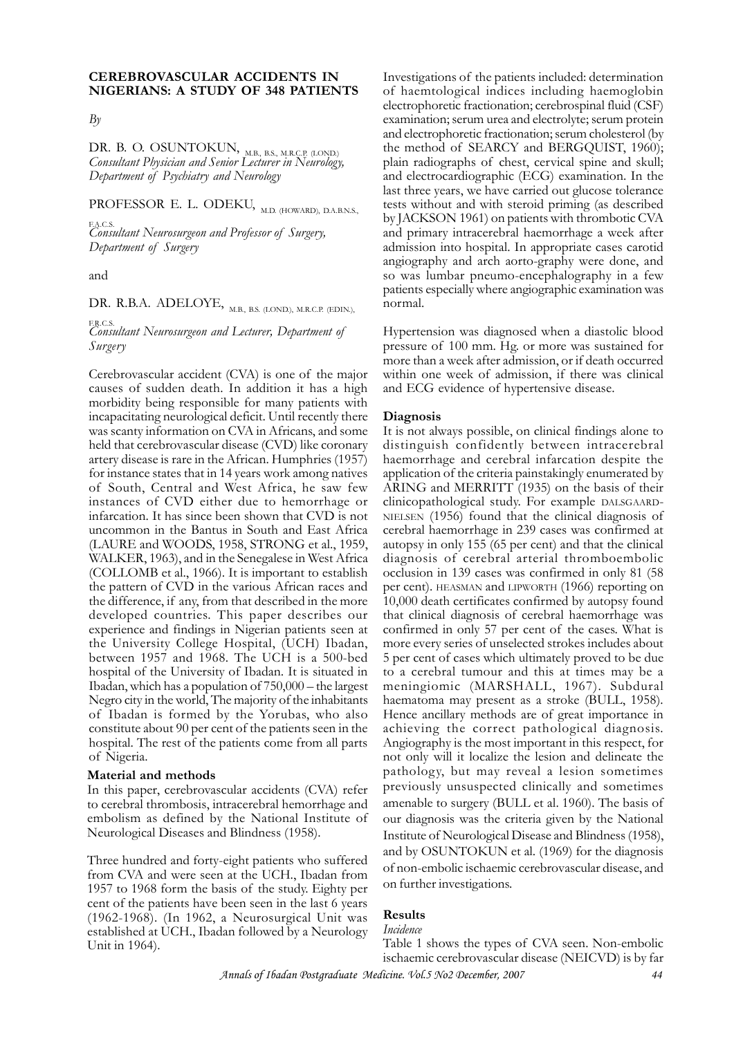### **CEREBROVASCULAR ACCIDENTS IN NIGERIANS: A STUDY OF 348 PATIENTS**

*By*

DR. B. O. OSUNTOKUN, M.B., B.S., M.R.C.P. (LOND.) *Consultant Physician and Senior Lecturer in Neurology, Department of Psychiatry and Neurology*

PROFESSOR E. L. ODEKU, M.D. (HOWARD), D.A.B.N.S.,

F.A.C.S. *Consultant Neurosurgeon and Professor of Surgery, Department of Surgery*

and

DR. R.B.A. ADELOYE, M.B., B.S. (LOND.), M.R.C.P. (EDIN.),

F.R.C.S. *Consultant Neurosurgeon and Lecturer, Department of Surgery*

Cerebrovascular accident (CVA) is one of the major causes of sudden death. In addition it has a high morbidity being responsible for many patients with incapacitating neurological deficit. Until recently there was scanty information on CVA in Africans, and some held that cerebrovascular disease (CVD) like coronary artery disease is rare in the African. Humphries (1957) for instance states that in 14 years work among natives of South, Central and West Africa, he saw few instances of CVD either due to hemorrhage or infarcation. It has since been shown that CVD is not uncommon in the Bantus in South and East Africa (LAURE and WOODS, 1958, STRONG et al., 1959, WALKER, 1963), and in the Senegalese in West Africa (COLLOMB et al., 1966). It is important to establish the pattern of CVD in the various African races and the difference, if any, from that described in the more developed countries. This paper describes our experience and findings in Nigerian patients seen at the University College Hospital, (UCH) Ibadan, between 1957 and 1968. The UCH is a 500-bed hospital of the University of Ibadan. It is situated in Ibadan, which has a population of 750,000 – the largest Negro city in the world, The majority of the inhabitants of Ibadan is formed by the Yorubas, who also constitute about 90 per cent of the patients seen in the hospital. The rest of the patients come from all parts of Nigeria.

#### **Material and methods**

In this paper, cerebrovascular accidents (CVA) refer to cerebral thrombosis, intracerebral hemorrhage and embolism as defined by the National Institute of Neurological Diseases and Blindness (1958).

Three hundred and forty-eight patients who suffered from CVA and were seen at the UCH., Ibadan from 1957 to 1968 form the basis of the study. Eighty per cent of the patients have been seen in the last 6 years (1962-1968). (In 1962, a Neurosurgical Unit was established at UCH., Ibadan followed by a Neurology Unit in 1964).

Investigations of the patients included: determination of haemtological indices including haemoglobin electrophoretic fractionation; cerebrospinal fluid (CSF) examination; serum urea and electrolyte; serum protein and electrophoretic fractionation; serum cholesterol (by the method of SEARCY and BERGQUIST, 1960); plain radiographs of chest, cervical spine and skull; and electrocardiographic (ECG) examination. In the last three years, we have carried out glucose tolerance tests without and with steroid priming (as described by JACKSON 1961) on patients with thrombotic CVA and primary intracerebral haemorrhage a week after admission into hospital. In appropriate cases carotid angiography and arch aorto-graphy were done, and so was lumbar pneumo-encephalography in a few patients especially where angiographic examination was normal.

Hypertension was diagnosed when a diastolic blood pressure of 100 mm. Hg. or more was sustained for more than a week after admission, or if death occurred within one week of admission, if there was clinical and ECG evidence of hypertensive disease.

#### **Diagnosis**

It is not always possible, on clinical findings alone to distinguish confidently between intracerebral haemorrhage and cerebral infarcation despite the application of the criteria painstakingly enumerated by ARING and MERRITT (1935) on the basis of their clinicopathological study. For example DALSGAARD-NIELSEN (1956) found that the clinical diagnosis of cerebral haemorrhage in 239 cases was confirmed at autopsy in only 155 (65 per cent) and that the clinical diagnosis of cerebral arterial thromboembolic occlusion in 139 cases was confirmed in only 81 (58 per cent). HEASMAN and LIPWORTH (1966) reporting on 10,000 death certificates confirmed by autopsy found that clinical diagnosis of cerebral haemorrhage was confirmed in only 57 per cent of the cases. What is more every series of unselected strokes includes about 5 per cent of cases which ultimately proved to be due to a cerebral tumour and this at times may be a meningiomic (MARSHALL, 1967). Subdural haematoma may present as a stroke (BULL, 1958). Hence ancillary methods are of great importance in achieving the correct pathological diagnosis. Angiography is the most important in this respect, for not only will it localize the lesion and delineate the pathology, but may reveal a lesion sometimes previously unsuspected clinically and sometimes amenable to surgery (BULL et al. 1960). The basis of our diagnosis was the criteria given by the National Institute of Neurological Disease and Blindness (1958), and by OSUNTOKUN et al. (1969) for the diagnosis of non-embolic ischaemic cerebrovascular disease, and on further investigations.

### **Results**

*Incidence*

Table 1 shows the types of CVA seen. Non-embolic ischaemic cerebrovascular disease (NEICVD) is by far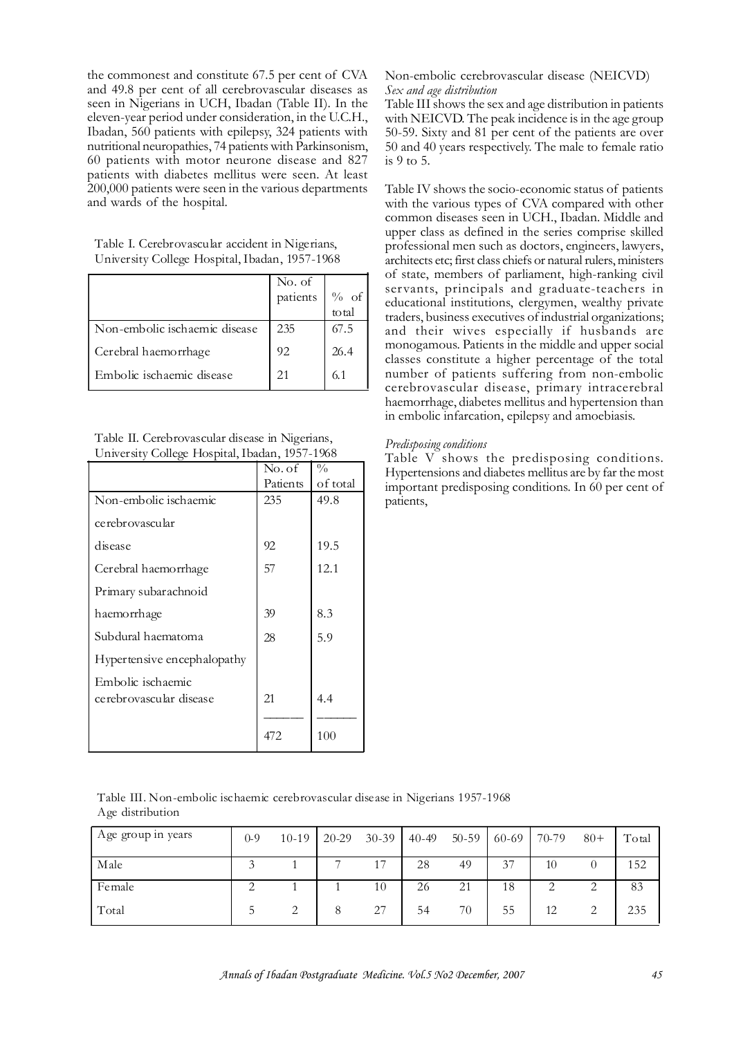the commonest and constitute 67.5 per cent of CVA and 49.8 per cent of all cerebrovascular diseases as seen in Nigerians in UCH, Ibadan (Table II). In the eleven-year period under consideration, in the U.C.H., Ibadan, 560 patients with epilepsy, 324 patients with nutritional neuropathies, 74 patients with Parkinsonism, 60 patients with motor neurone disease and 827 patients with diabetes mellitus were seen. At least 200,000 patients were seen in the various departments and wards of the hospital.

Table I. Cerebrovascular accident in Nigerians, University College Hospital, Ibadan, 1957-1968

|                               | No. of   |       |
|-------------------------------|----------|-------|
|                               | patients | % of  |
|                               |          | total |
| Non-embolic ischaemic disease | 235      | 67.5  |
| Cerebral haemorrhage          | 92       | 26.4  |
| Embolic ischaemic disease     | 21       | 6.1   |

Table II. Cerebrovascular disease in Nigerians, University College Hospital, Ibadan, 1957-1968

|                             | No. of   | $\frac{0}{0}$ |
|-----------------------------|----------|---------------|
|                             | Patients | of total      |
| Non-embolic ischaemic       | 235      | 49.8          |
| cerebrovascular             |          |               |
| disease                     | 92       | 19.5          |
| Cerebral haemorrhage        | 57       | 12.1          |
| Primary subarachnoid        |          |               |
| haemorrhage                 | 39       | 8.3           |
| Subdural haematoma          | 28       | 5.9           |
| Hypertensive encephalopathy |          |               |
| Embolic ischaemic           |          |               |
| cerebrovascular disease     | 21       | 4.4           |
|                             |          |               |
|                             | 472      | 100           |

### Non-embolic cerebrovascular disease (NEICVD) *Sex and age distribution*

Table III shows the sex and age distribution in patients with NEICVD. The peak incidence is in the age group 50-59. Sixty and 81 per cent of the patients are over 50 and 40 years respectively. The male to female ratio is 9 to 5.

Table IV shows the socio-economic status of patients with the various types of CVA compared with other common diseases seen in UCH., Ibadan. Middle and upper class as defined in the series comprise skilled professional men such as doctors, engineers, lawyers, architects etc; first class chiefs or natural rulers, ministers of state, members of parliament, high-ranking civil servants, principals and graduate-teachers in educational institutions, clergymen, wealthy private traders, business executives of industrial organizations; and their wives especially if husbands are monogamous. Patients in the middle and upper social classes constitute a higher percentage of the total number of patients suffering from non-embolic cerebrovascular disease, primary intracerebral haemorrhage, diabetes mellitus and hypertension than in embolic infarcation, epilepsy and amoebiasis.

## *Predisposing conditions*

Table V shows the predisposing conditions. Hypertensions and diabetes mellitus are by far the most important predisposing conditions. In 60 per cent of patients,

Table III. Non-embolic ischaemic cerebrovascular disease in Nigerians 1957-1968 Age distribution

| Age group in years | $0 - 9$ | $10-19$ | 20-29 | $30 - 39$ | $40 - 49$ | $50 - 59$ | 60-69 | 70-79 | $80+$         | Total |
|--------------------|---------|---------|-------|-----------|-----------|-----------|-------|-------|---------------|-------|
| Male               |         |         |       | 17        | 28        | 49        | 37    | 10    |               | 152   |
| Female             |         |         |       | 10        | 26        | 21        | 18    |       |               | 83    |
| Total              |         | $\sim$  |       | 27        | 54        | 70        | 55    | 12    | $\mathcal{D}$ | 235   |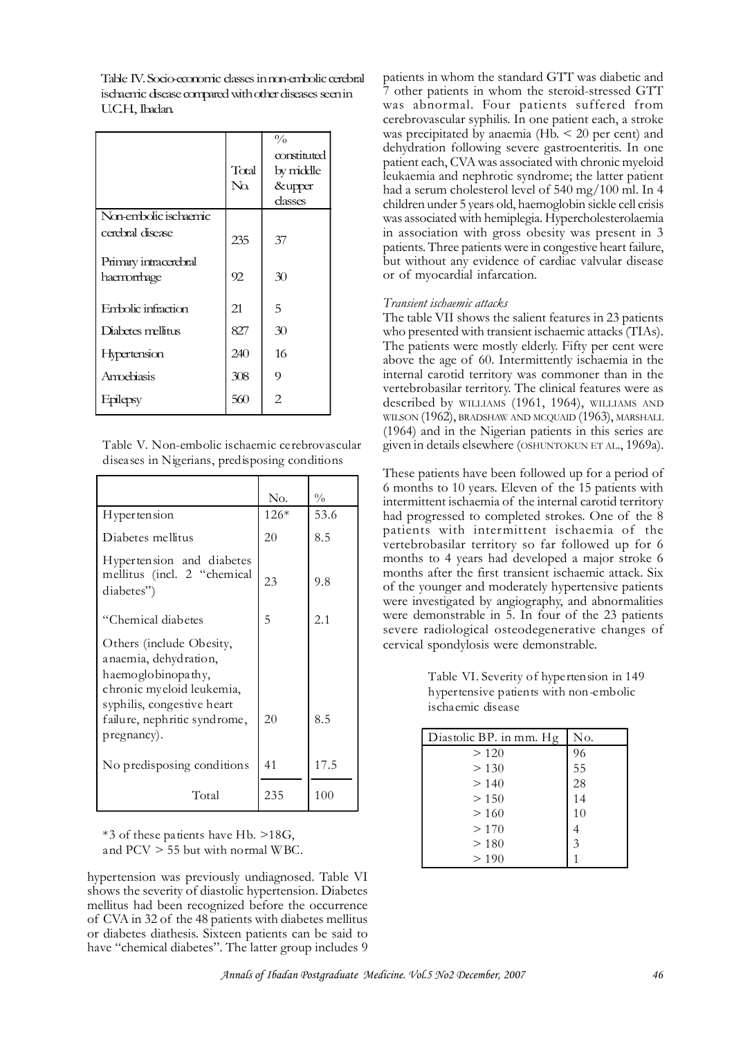Table IV. Socio-economic classes in non-embolic cerebral ischaemic disease compared with other diseases seen in U.C.H., Ibadan.

|                       | Total<br>$\rm No$ | $\frac{0}{0}$<br>constituted<br>by middle<br>&upper<br>dasses |
|-----------------------|-------------------|---------------------------------------------------------------|
| Non-embolic ischaemic |                   |                                                               |
| cerebral disease      | 235               | 37                                                            |
| Primary intracerebral |                   |                                                               |
| haemorrhage           | 92                | 30                                                            |
| Embolic infraction    | 21                | 5                                                             |
| Diabetes mellitus     | 827               | 30                                                            |
| <b>Hypertension</b>   | 240               | 16                                                            |
| Amoebiasis            | 308               | 9                                                             |
| Epilepsy              | 560               | 2                                                             |

Table V. Non-embolic ischaemic ce rebrovascular disea ses in Nigerians, predisposing conditions

|                                                                                                                                                                    | No.    | $\frac{0}{0}$ |
|--------------------------------------------------------------------------------------------------------------------------------------------------------------------|--------|---------------|
| Hypertension                                                                                                                                                       | $126*$ | 53.6          |
| Diabetes mellitus                                                                                                                                                  | 20     | 8.5           |
| Hypertension and diabetes<br>mellitus (incl. 2 "chemical<br>diabetes")                                                                                             | 23     | 9.8           |
| "Chemical diabetes                                                                                                                                                 | 5      | 2.1           |
| Others (include Obesity,<br>anaemia, dehydration,<br>haemoglobinopathy,<br>chronic myeloid leukemia,<br>syphilis, congestive heart<br>failure, nephritic syndrome, | 20     | 8.5           |
| pregnancy).<br>No predisposing conditions                                                                                                                          | 41     | 17.5          |
| Total                                                                                                                                                              | 235    | 100           |

\*3 of these patients have Hb. >18G, and PCV > 55 but with normal WBC.

hypertension was previously undiagnosed. Table VI shows the severity of diastolic hypertension. Diabetes mellitus had been recognized before the occurrence of CVA in 32 of the 48 patients with diabetes mellitus or diabetes diathesis. Sixteen patients can be said to have "chemical diabetes". The latter group includes 9

patients in whom the standard GTT was diabetic and 7 other patients in whom the steroid-stressed GTT was abnormal. Four patients suffered from cerebrovascular syphilis. In one patient each, a stroke was precipitated by anaemia  $(Hb. < 20$  per cent) and dehydration following severe gastroenteritis. In one patient each, CVA was associated with chronic myeloid leukaemia and nephrotic syndrome; the latter patient had a serum cholesterol level of 540 mg/100 ml. In 4 children under 5 years old, haemoglobin sickle cell crisis was associated with hemiplegia. Hypercholesterolaemia in association with gross obesity was present in 3 patients. Three patients were in congestive heart failure, but without any evidence of cardiac valvular disease or of myocardial infarcation.

## *Transient ischaemic attacks*

The table VII shows the salient features in 23 patients who presented with transient ischaemic attacks (TIAs). The patients were mostly elderly. Fifty per cent were above the age of 60. Intermittently ischaemia in the internal carotid territory was commoner than in the vertebrobasilar territory. The clinical features were as described by WILLIAMS (1961, 1964), WILLIAMS AND WILSON (1962), BRADSHAW AND MCQUAID (1963), MARSHALL (1964) and in the Nigerian patients in this series are given in details elsewhere (OSHUNTOKUN ET AL., 1969a).

These patients have been followed up for a period of 6 months to 10 years. Eleven of the 15 patients with intermittent ischaemia of the internal carotid territory had progressed to completed strokes. One of the 8 patients with intermittent ischaemia of the vertebrobasilar territory so far followed up for 6 months to 4 years had developed a major stroke 6 months after the first transient ischaemic attack. Six of the younger and moderately hypertensive patients were investigated by angiography, and abnormalities were demonstrable in 5. In four of the 23 patients severe radiological osteodegenerative changes of cervical spondylosis were demonstrable.

> Table VI. Severity of hypertension in 149 hypertensive patients with non-embolic ischaemic disease

| Diastolic BP. in mm. Hg | No. |
|-------------------------|-----|
| >120                    | 96  |
| > 130                   | 55  |
| >140                    | 28  |
| > 150                   | 14  |
| >160                    | 10  |
| >170                    | 4   |
| > 180                   | 3   |
| > 190                   |     |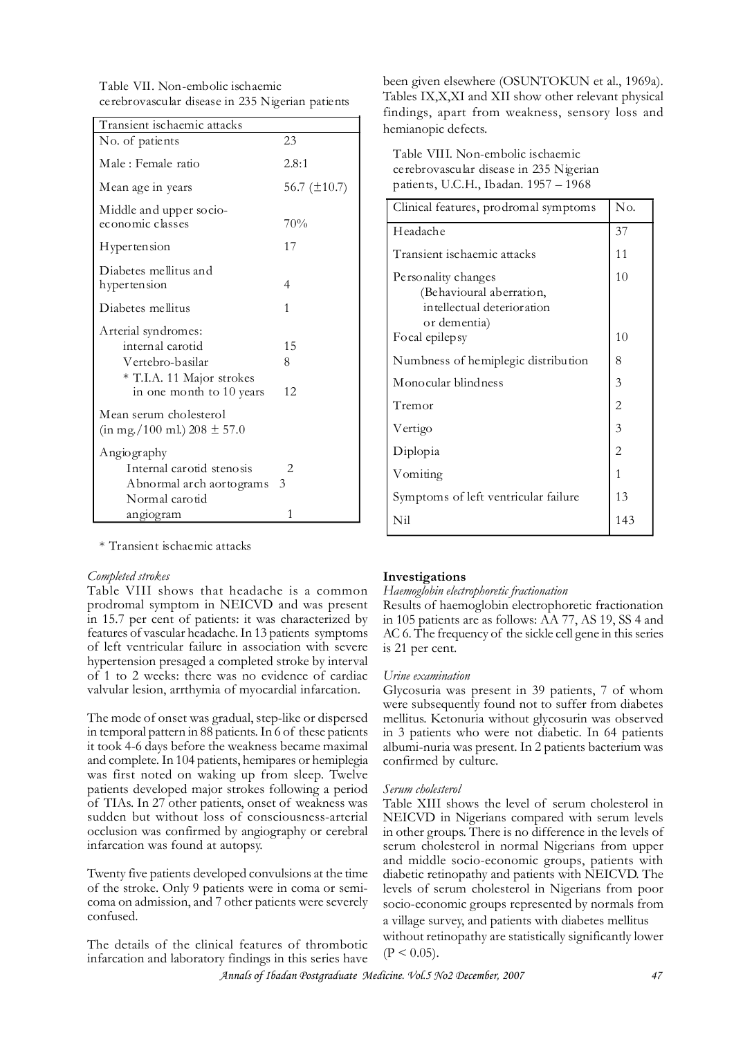Table VII. Non-embolic ischaemic ce rebrovascular disease in 235 Nigerian patients

| Transient ischaemic attacks                                                                                          |                   |
|----------------------------------------------------------------------------------------------------------------------|-------------------|
| No. of patients                                                                                                      | 23                |
| Male: Female ratio                                                                                                   | 2.8:1             |
| Mean age in years                                                                                                    | 56.7 $(\pm 10.7)$ |
| Middle and upper socio-<br>economic classes                                                                          | 70%               |
| Hypertension                                                                                                         | 17                |
| Diabetes mellitus and<br>hypertension                                                                                | 4                 |
| Diabetes mellitus                                                                                                    | 1                 |
| Arterial syndromes:<br>internal carotid<br>Vertebro-basilar<br>* T.I.A. 11 Major strokes<br>in one month to 10 years | 15<br>8<br>12.    |
| Mean serum cholesterol<br>$(in mg./100 ml) 208 \pm 57.0$                                                             |                   |
| Angiography                                                                                                          |                   |
| Internal carotid stenosis                                                                                            | 2                 |
| Abnormal arch aortograms<br>Normal carotid                                                                           | 3                 |
| angiogram                                                                                                            | 1                 |

\* Transient ischaemic attacks

### *Completed strokes*

Table VIII shows that headache is a common prodromal symptom in NEICVD and was present in 15.7 per cent of patients: it was characterized by features of vascular headache. In 13 patients symptoms of left ventricular failure in association with severe hypertension presaged a completed stroke by interval of 1 to 2 weeks: there was no evidence of cardiac valvular lesion, arrthymia of myocardial infarcation.

The mode of onset was gradual, step-like or dispersed in temporal pattern in 88 patients. In 6 of these patients it took 4-6 days before the weakness became maximal and complete. In 104 patients, hemipares or hemiplegia was first noted on waking up from sleep. Twelve patients developed major strokes following a period of TIAs. In 27 other patients, onset of weakness was sudden but without loss of consciousness-arterial occlusion was confirmed by angiography or cerebral infarcation was found at autopsy.

Twenty five patients developed convulsions at the time of the stroke. Only 9 patients were in coma or semicoma on admission, and 7 other patients were severely confused.

The details of the clinical features of thrombotic infarcation and laboratory findings in this series have

been given elsewhere (OSUNTOKUN et al., 1969a). Tables IX,X,XI and XII show other relevant physical findings, apart from weakness, sensory loss and hemianopic defects.

Table VIII. Non-embolic ischaemic cerebrovascular disease in 235 Nigerian patients, U.C.H., Ibadan. 1957 – 1968

| Clinical features, prodromal symptoms                                                         | No. |
|-----------------------------------------------------------------------------------------------|-----|
| Headache                                                                                      | 37  |
| Transient ischaemic attacks                                                                   | 11  |
| Personality changes<br>(Behavioural aberration,<br>intellectual deterioration<br>or dementia) | 10  |
| Focal epilepsy                                                                                | 10  |
| Numbness of hemiplegic distribution                                                           | 8   |
| Monocular blindness                                                                           | 3   |
| Tremor                                                                                        | 2   |
| Vertigo                                                                                       | 3   |
| Diplopia                                                                                      | 2   |
| Vomiting                                                                                      | 1   |
| Symptoms of left ventricular failure                                                          | 13  |
| Nil                                                                                           | 143 |

### **Investigations**

## *Haemoglobin electrophoretic fractionation*

Results of haemoglobin electrophoretic fractionation in 105 patients are as follows: AA 77, AS 19, SS 4 and AC 6. The frequency of the sickle cell gene in this series is 21 per cent.

#### *Urine examination*

Glycosuria was present in 39 patients, 7 of whom were subsequently found not to suffer from diabetes mellitus. Ketonuria without glycosurin was observed in 3 patients who were not diabetic. In 64 patients albumi-nuria was present. In 2 patients bacterium was confirmed by culture.

#### *Serum cholesterol*

Table XIII shows the level of serum cholesterol in NEICVD in Nigerians compared with serum levels in other groups. There is no difference in the levels of serum cholesterol in normal Nigerians from upper and middle socio-economic groups, patients with diabetic retinopathy and patients with NEICVD. The levels of serum cholesterol in Nigerians from poor socio-economic groups represented by normals from a village survey, and patients with diabetes mellitus without retinopathy are statistically significantly lower  $(P < 0.05)$ .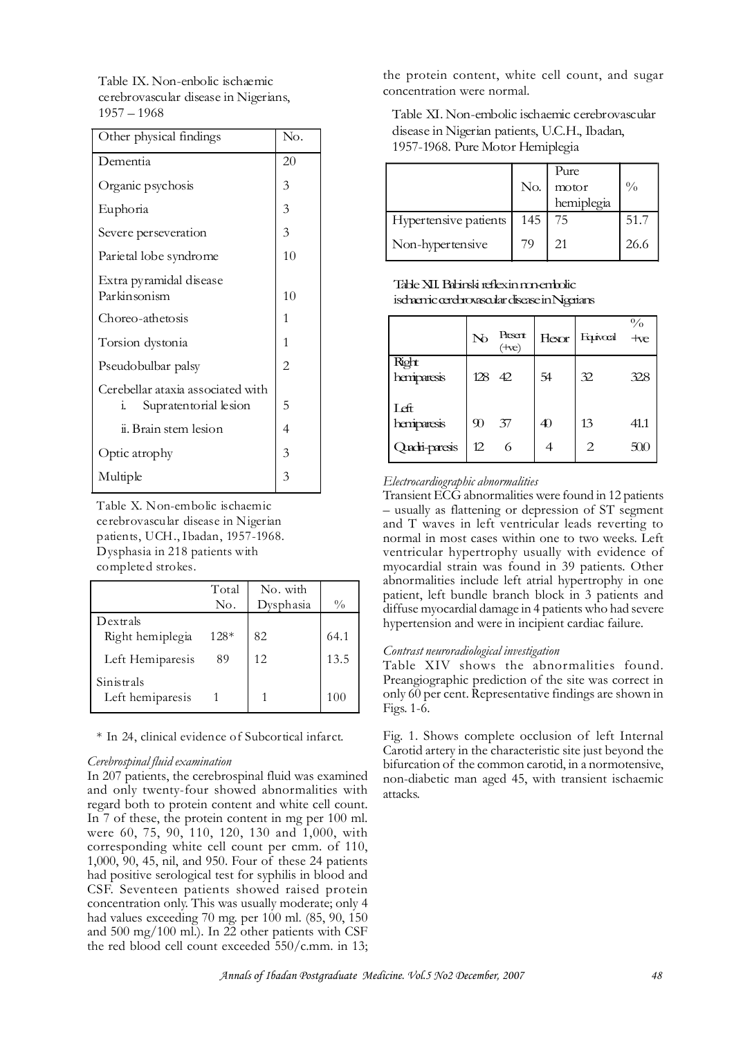Table IX. Non-enbolic ischaemic cerebrovascular disease in Nigerians, 1957 – 1968

| Other physical findings                                                    | No.            |
|----------------------------------------------------------------------------|----------------|
| Dementia                                                                   | 20             |
| Organic psychosis                                                          | 3              |
| Euphoria                                                                   | 3              |
| Severe perseveration                                                       | 3              |
| Parietal lobe syndrome                                                     | 10             |
| Extra pyramidal disease<br>Parkinsonism                                    | 10             |
| Choreo-athetosis                                                           | 1              |
| Torsion dystonia                                                           | 1              |
| Pseudobulbar palsy                                                         | $\overline{2}$ |
| Cerebellar ataxia associated with<br>Supratentorial lesion<br>$\mathbf{1}$ | 5              |
| ii. Brain stem lesion                                                      | 4              |
| Optic atrophy                                                              | 3              |
| Multiple                                                                   | 3              |

Table X. Non-embolic ischaemic ce rebrovascular disease in Nigerian patients, UCH., Ibadan, 1957-1968. Dysphasia in 218 patients with completed strokes.

|                                | Total  | No. with  |               |
|--------------------------------|--------|-----------|---------------|
|                                | No.    | Dysphasia | $\frac{0}{0}$ |
| Dextrals                       |        |           |               |
| Right hemiplegia               | $128*$ | 82        | 64.1          |
| Left Hemiparesis               | 89     | 12        | 13.5          |
| Sinistrals<br>Left hemiparesis |        |           | 100           |

\* In 24, clinical evidence o f Subcortical infarct.

### *Cerebrospinal fluid examination*

In 207 patients, the cerebrospinal fluid was examined and only twenty-four showed abnormalities with regard both to protein content and white cell count. In 7 of these, the protein content in mg per 100 ml. were 60, 75, 90, 110, 120, 130 and 1,000, with corresponding white cell count per cmm. of 110, 1,000, 90, 45, nil, and 950. Four of these 24 patients had positive serological test for syphilis in blood and CSF. Seventeen patients showed raised protein concentration only. This was usually moderate; only 4 had values exceeding 70 mg. per 100 ml. (85, 90, 150 and 500 mg/100 ml.). In 22 other patients with CSF the red blood cell count exceeded 550/c.mm. in 13; the protein content, white cell count, and sugar concentration were normal.

Table XI. Non-embolic ischaemic cerebrovascular disease in Nigerian patients, U.C.H., Ibadan, 1957-1968. Pure Motor Hemiplegia

|                       |     | Pure       |               |
|-----------------------|-----|------------|---------------|
|                       | No. | motor      | $\frac{0}{0}$ |
|                       |     | hemiplegia |               |
| Hypertensive patients | 145 | 75         | 51.7          |
| Non-hypertensive      | 79  | 21         | 26.6          |

# Table XII. Babinski reflex in non-embolic ischaemic cerebrovascular disease in Nigerians

|                      | No     | Present<br>(+ve) | Hexor | Equivocal | $\frac{0}{0}$<br>$+ve$ |
|----------------------|--------|------------------|-------|-----------|------------------------|
| Right<br>hemiparesis | 128 42 |                  | 54    | 32        | 328                    |
| Left<br>hemiparesis  | 90     | 37               | 40    | 13        | 41.1                   |
| Quodri-paresis       | 12     | 6                | 4     | 2         | 500                    |

# *Electrocardiographic abnormalities*

Transient ECG abnormalities were found in 12 patients – usually as flattening or depression of ST segment and T waves in left ventricular leads reverting to normal in most cases within one to two weeks. Left ventricular hypertrophy usually with evidence of myocardial strain was found in 39 patients. Other abnormalities include left atrial hypertrophy in one patient, left bundle branch block in 3 patients and diffuse myocardial damage in 4 patients who had severe hypertension and were in incipient cardiac failure.

## *Contrast neuroradiological investigation*

Table XIV shows the abnormalities found. Preangiographic prediction of the site was correct in only 60 per cent. Representative findings are shown in Figs. 1-6.

Fig. 1. Shows complete occlusion of left Internal Carotid artery in the characteristic site just beyond the bifurcation of the common carotid, in a normotensive, non-diabetic man aged 45, with transient ischaemic attacks.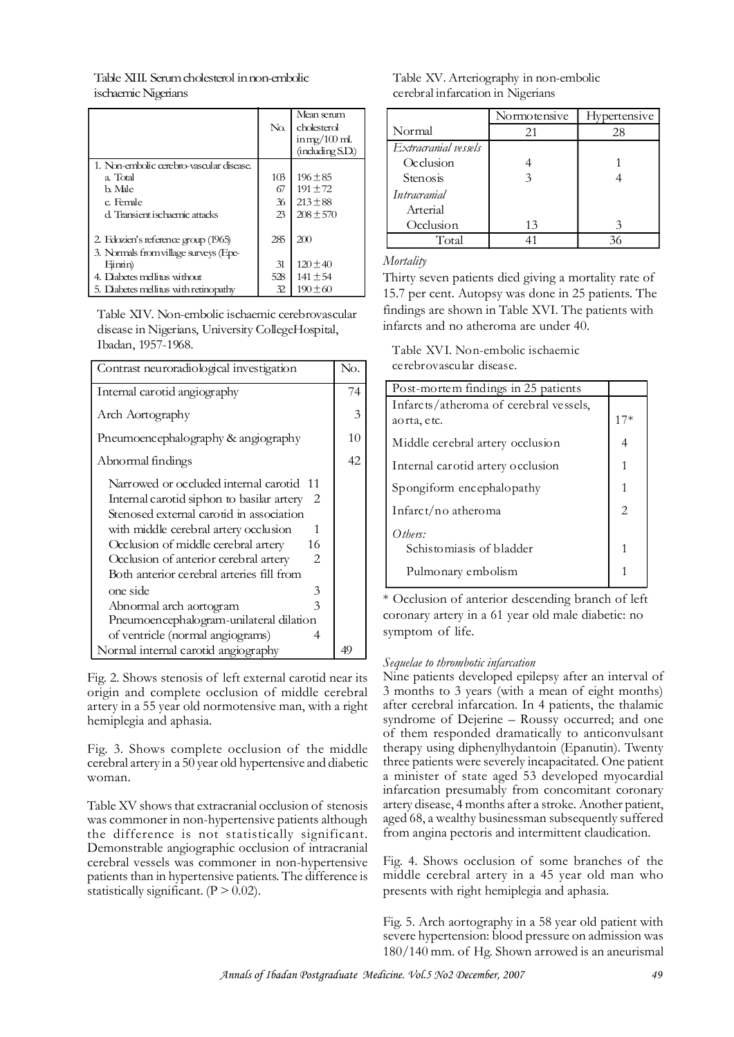Table XIII. Serum cholesterol in non-embolic ischaemic Nigerians

|                                                                              | $\rm No$        | Mean serum<br>cholesterol<br>$immg/100$ ml.<br>(includiag SD) |
|------------------------------------------------------------------------------|-----------------|---------------------------------------------------------------|
| 1. Non-embolic cerebro-vascular disease.                                     |                 |                                                               |
| a. Total                                                                     | 10 <sub>3</sub> | $196 \pm 85$                                                  |
| h Mile                                                                       | 67              | $191 \pm 72$                                                  |
| c. Female                                                                    | 36              | $213 \pm 88$                                                  |
| d. Transient ischaemic attacks                                               | 23              | $208 \pm 570$                                                 |
| 2. Edozien's reference group (1965)<br>3. Normals from village surveys (Epe- | 285             | 200                                                           |
| Fimin)                                                                       | 31              | $120 \pm 40$                                                  |
| 4. Diabetes mellitus without                                                 | 528             | $141 \pm 54$                                                  |
| 5. Diabetes mellitus with retinopathy                                        | 32              | $190 \pm 60$                                                  |

Table XIV. Non-embolic ischaemic cerebrovascular disease in Nigerians, University CollegeHospital, Ibadan, 1957-1968.

| Contrast neuroradiological investigation                                                                                                                                                                                                                                                                                                                                                                                                                                                 | No. |
|------------------------------------------------------------------------------------------------------------------------------------------------------------------------------------------------------------------------------------------------------------------------------------------------------------------------------------------------------------------------------------------------------------------------------------------------------------------------------------------|-----|
| Internal carotid angiography                                                                                                                                                                                                                                                                                                                                                                                                                                                             | 74  |
| Arch Aortography                                                                                                                                                                                                                                                                                                                                                                                                                                                                         | 3   |
| Pneumoencephalography & angiography                                                                                                                                                                                                                                                                                                                                                                                                                                                      | 10  |
| Abnormal findings                                                                                                                                                                                                                                                                                                                                                                                                                                                                        | 42  |
| Narrowed or occluded internal carotid 11<br>Internal carotid siphon to basilar artery<br>2<br>Stenosed external carotid in association<br>with middle cerebral artery occlusion<br>1<br>Occlusion of middle cerebral artery<br>16<br>Occlusion of anterior cerebral artery<br>2<br>Both anterior cerebral arteries fill from<br>one side<br>3<br>$\overline{\mathcal{E}}$<br>Abnormal arch aortogram<br>Pneumoencephalogram-unilateral dilation<br>of ventricle (normal angiograms)<br>4 |     |
| Normal internal carotid angiography                                                                                                                                                                                                                                                                                                                                                                                                                                                      | 49  |

Fig. 2. Shows stenosis of left external carotid near its origin and complete occlusion of middle cerebral artery in a 55 year old normotensive man, with a right hemiplegia and aphasia.

Fig. 3. Shows complete occlusion of the middle cerebral artery in a 50 year old hypertensive and diabetic woman.

Table XV shows that extracranial occlusion of stenosis was commoner in non-hypertensive patients although the difference is not statistically significant. Demonstrable angiographic occlusion of intracranial cerebral vessels was commoner in non-hypertensive patients than in hypertensive patients. The difference is statistically significant.  $(P > 0.02)$ .

| Table XV. Arteriography in non-embolic |
|----------------------------------------|
| cerebral infarcation in Nigerians      |

|                      | Normotensive | <b>Hypertensive</b> |
|----------------------|--------------|---------------------|
| Normal               | 21           | 28                  |
| Extracranial vessels |              |                     |
| Occlusion            |              |                     |
| Stenosis             |              |                     |
| <i>Intracranial</i>  |              |                     |
| Arterial             |              |                     |
| Occlusion            | 13           |                     |
| Total                |              | 36                  |

*Mortality*

Thirty seven patients died giving a mortality rate of 15.7 per cent. Autopsy was done in 25 patients. The findings are shown in Table XVI. The patients with infarcts and no atheroma are under 40.

Table XVI. Non-embolic ischaemic ce rebrovascular disease.

| Post-mortem findings in 25 patients    |                               |
|----------------------------------------|-------------------------------|
| Infarcts/atheroma of cerebral vessels, |                               |
| aorta, etc.                            | $17*$                         |
| Middle cerebral artery occlusion       | 4                             |
| Internal carotid artery occlusion      | 1                             |
| Spongiform encephalopathy              | 1                             |
| Infarct/no atheroma                    | $\mathfrak{D}_{\mathfrak{p}}$ |
| Other:                                 |                               |
| Schistomiasis of bladder               | 1                             |
| Pulmonary embolism                     |                               |

\* Occlusion of anterior descending branch of left coronary artery in a 61 year old male diabetic: no symptom of life.

# *Sequelae to thrombotic infarcation*

Nine patients developed epilepsy after an interval of 3 months to 3 years (with a mean of eight months) after cerebral infarcation. In 4 patients, the thalamic syndrome of Dejerine – Roussy occurred; and one of them responded dramatically to anticonvulsant therapy using diphenylhydantoin (Epanutin). Twenty three patients were severely incapacitated. One patient a minister of state aged 53 developed myocardial infarcation presumably from concomitant coronary artery disease, 4 months after a stroke. Another patient, aged 68, a wealthy businessman subsequently suffered from angina pectoris and intermittent claudication.

Fig. 4. Shows occlusion of some branches of the middle cerebral artery in a 45 year old man who presents with right hemiplegia and aphasia.

Fig. 5. Arch aortography in a 58 year old patient with severe hypertension: blood pressure on admission was 180/140 mm. of Hg. Shown arrowed is an aneurismal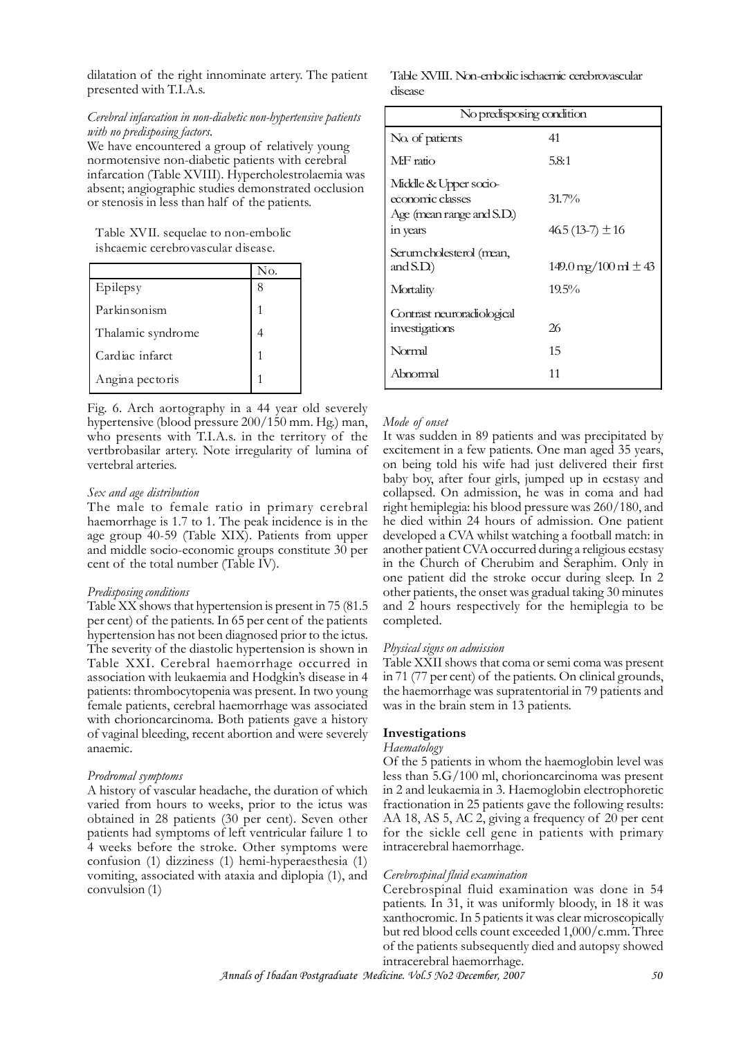dilatation of the right innominate artery. The patient presented with T.I.A.s.

## *Cerebral infarcation in non-diabetic non-hypertensive patients with no predisposing factors.*

We have encountered a group of relatively young normotensive non-diabetic patients with cerebral infarcation (Table XVIII). Hypercholestrolaemia was absent; angiographic studies demonstrated occlusion or stenosis in less than half of the patients.

Table XVII. sequelae to non-embolic ishcaemic cerebrovascular disease.

|                   | No. |
|-------------------|-----|
| Epilepsy          |     |
| Parkinsonism      |     |
| Thalamic syndrome |     |
| Cardiac infarct   |     |
| Angina pectoris   |     |

Fig. 6. Arch aortography in a 44 year old severely hypertensive (blood pressure 200/150 mm. Hg.) man, who presents with T.I.A.s. in the territory of the vertbrobasilar artery. Note irregularity of lumina of vertebral arteries.

#### *Sex and age distribution*

The male to female ratio in primary cerebral haemorrhage is 1.7 to 1. The peak incidence is in the age group 40-59 (Table XIX). Patients from upper and middle socio-economic groups constitute 30 per cent of the total number (Table IV).

#### *Predisposing conditions*

Table XX shows that hypertension is present in 75 (81.5 per cent) of the patients. In 65 per cent of the patients hypertension has not been diagnosed prior to the ictus. The severity of the diastolic hypertension is shown in Table XXI. Cerebral haemorrhage occurred in association with leukaemia and Hodgkin's disease in 4 patients: thrombocytopenia was present. In two young female patients, cerebral haemorrhage was associated with chorioncarcinoma. Both patients gave a history of vaginal bleeding, recent abortion and were severely anaemic.

### *Prodromal symptoms*

A history of vascular headache, the duration of which varied from hours to weeks, prior to the ictus was obtained in 28 patients (30 per cent). Seven other patients had symptoms of left ventricular failure 1 to 4 weeks before the stroke. Other symptoms were confusion (1) dizziness (1) hemi-hyperaesthesia (1) vomiting, associated with ataxia and diplopia (1), and convulsion (1)

Table XVIII. Non-embolic ischaemic cerebrovascular disease

| No predisposing condition                                                          |                                               |  |  |
|------------------------------------------------------------------------------------|-----------------------------------------------|--|--|
| No. of patients                                                                    | 41                                            |  |  |
| M:F ratio                                                                          | 5.8:1                                         |  |  |
| Middle & Upper socio-<br>economic classes<br>Age (mean range and S.D.)<br>in years | $31.7\%$<br>$465(13-7) \pm 16$                |  |  |
| Serumcholesterol (mean,<br>and $SD$ )                                              | $149.0 \,\mathrm{mg}/100 \,\mathrm{m} \pm 43$ |  |  |
| Mortality<br>Contrast neuroradiological<br>investigations                          | $19.5\%$<br>26                                |  |  |
| Normal                                                                             | 15                                            |  |  |
| Abnormal                                                                           | 11                                            |  |  |

### *Mode of onset*

It was sudden in 89 patients and was precipitated by excitement in a few patients. One man aged 35 years, on being told his wife had just delivered their first baby boy, after four girls, jumped up in ecstasy and collapsed. On admission, he was in coma and had right hemiplegia: his blood pressure was 260/180, and he died within 24 hours of admission. One patient developed a CVA whilst watching a football match: in another patient CVA occurred during a religious ecstasy in the Church of Cherubim and Seraphim. Only in one patient did the stroke occur during sleep. In 2 other patients, the onset was gradual taking 30 minutes and 2 hours respectively for the hemiplegia to be completed.

### *Physical signs on admission*

Table XXII shows that coma or semi coma was present in 71 (77 per cent) of the patients. On clinical grounds, the haemorrhage was supratentorial in 79 patients and was in the brain stem in 13 patients.

#### **Investigations**

#### *Haematology*

Of the 5 patients in whom the haemoglobin level was less than 5.G/100 ml, chorioncarcinoma was present in 2 and leukaemia in 3. Haemoglobin electrophoretic fractionation in 25 patients gave the following results: AA 18, AS 5, AC 2, giving a frequency of 20 per cent for the sickle cell gene in patients with primary intracerebral haemorrhage.

### *Cerebrospinal fluid examination*

Cerebrospinal fluid examination was done in 54 patients. In 31, it was uniformly bloody, in 18 it was xanthocromic. In 5 patients it was clear microscopically but red blood cells count exceeded 1,000/c.mm. Three of the patients subsequently died and autopsy showed intracerebral haemorrhage.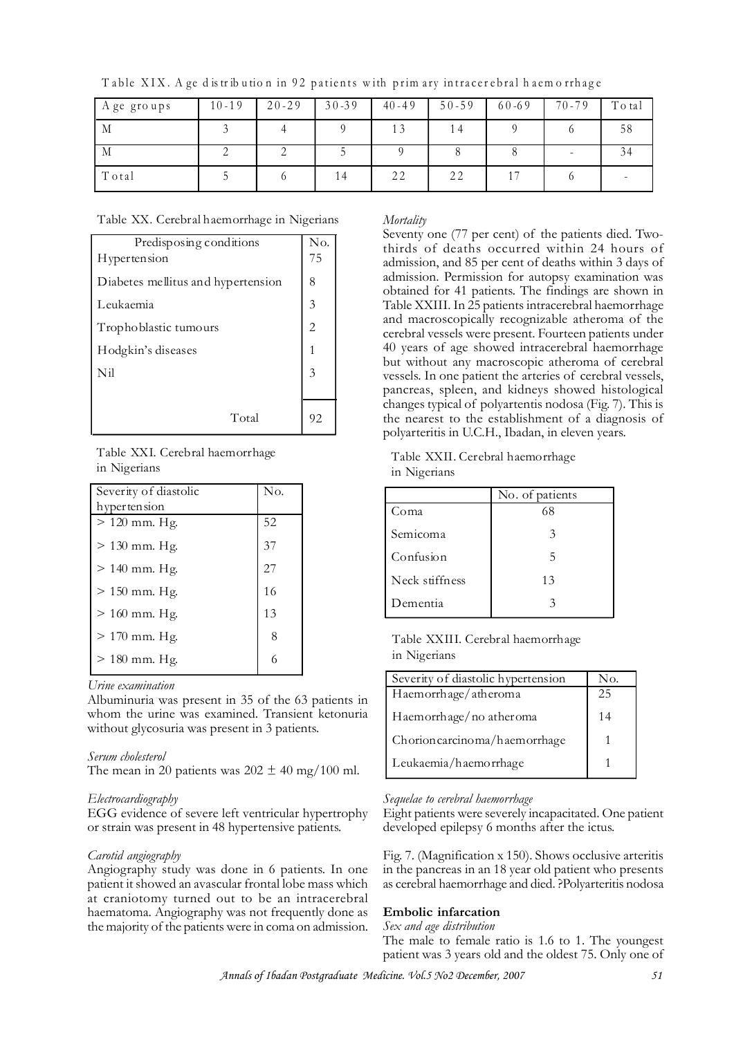| A gegroups | $10 - 19$ | $20 - 29$ | $30 - 39$ | $40 - 49$ | $50 - 59$ | $60 - 69$ | $70 - 79$ | To tal |
|------------|-----------|-----------|-----------|-----------|-----------|-----------|-----------|--------|
| M          |           |           |           | 13        | 14        |           |           | 58     |
| M          |           |           |           |           |           |           |           | 34     |
| Total      |           |           | 14        | 22        | 22        |           |           |        |

Table XIX. A ge distribution in 92 patients with primary intracerebral haemorrhage

Table XX. Cerebral haemorrhage in Nigerians

| Predisposing conditions            | No. |
|------------------------------------|-----|
| Hypertension                       | 75  |
| Diabetes mellitus and hypertension | 8   |
| Leukaemia                          | 3   |
| Trophoblastic tumours              |     |
| Hodgkin's diseases                 |     |
| Nil                                |     |
|                                    |     |
| Total                              | 92  |

Table XXI. Cerebral haemorrhage in Nigerians

| Severity of diastolic | No. |
|-----------------------|-----|
| hypertension          |     |
| $> 120$ mm. Hg.       | 52  |
| $> 130$ mm. Hg.       | 37  |
| $> 140$ mm. Hg.       | 27  |
| $> 150$ mm. Hg.       | 16  |
| $> 160$ mm. Hg.       | 13  |
| $> 170$ mm. Hg.       | 8   |
| $> 180$ mm. Hg.       | 6   |

*Urine examination*

Albuminuria was present in 35 of the 63 patients in whom the urine was examined. Transient ketonuria without glycosuria was present in 3 patients.

### *Serum cholesterol*

The mean in 20 patients was  $202 \pm 40$  mg/100 ml.

### *Electrocardiography*

EGG evidence of severe left ventricular hypertrophy or strain was present in 48 hypertensive patients.

#### *Carotid angiography*

Angiography study was done in 6 patients. In one patient it showed an avascular frontal lobe mass which at craniotomy turned out to be an intracerebral haematoma. Angiography was not frequently done as the majority of the patients were in coma on admission.

### *Mortality*

Seventy one (77 per cent) of the patients died. Twothirds of deaths occurred within 24 hours of admission, and 85 per cent of deaths within 3 days of admission. Permission for autopsy examination was obtained for 41 patients. The findings are shown in Table XXIII. In 25 patients intracerebral haemorrhage and macroscopically recognizable atheroma of the cerebral vessels were present. Fourteen patients under 40 years of age showed intracerebral haemorrhage but without any macroscopic atheroma of cerebral vessels. In one patient the arteries of cerebral vessels, pancreas, spleen, and kidneys showed histological changes typical of polyartentis nodosa (Fig. 7). This is the nearest to the establishment of a diagnosis of polyarteritis in U.C.H., Ibadan, in eleven years.

Table XXII. Cerebral haemorrhage in Nigerians

|                | No. of patients |
|----------------|-----------------|
| Coma           | 68              |
| Semicoma       | 3               |
| Confusion      | 5               |
| Neck stiffness | 13              |
| Dementia       | 3               |

Table XXIII. Cerebral haemorrhage in Nigerians

| Severity of diastolic hypertension | No. |
|------------------------------------|-----|
| Haemorrhage/atheroma               | 25  |
| Haemorrhage/no atheroma            | 14  |
| Chorioncarcinoma/haemorrhage       |     |
| Leukaemia/haemorrhage              |     |

#### *Sequelae to cerebral haemorrhage*

Eight patients were severely incapacitated. One patient developed epilepsy 6 months after the ictus.

Fig. 7. (Magnification x 150). Shows occlusive arteritis in the pancreas in an 18 year old patient who presents as cerebral haemorrhage and died. ?Polyarteritis nodosa

#### **Embolic infarcation**

#### *Sex and age distribution*

The male to female ratio is 1.6 to 1. The youngest patient was 3 years old and the oldest 75. Only one of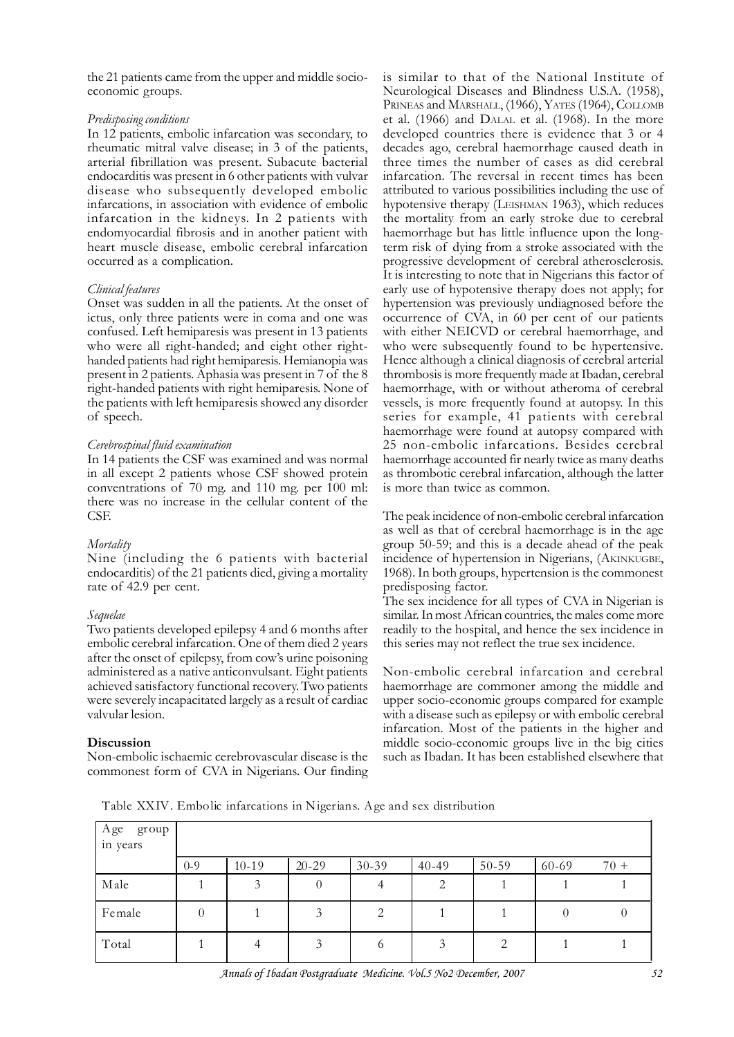the 21 patients came from the upper and middle socioeconomic groups.

## *Predisposing conditions*

In 12 patients, embolic infarcation was secondary, to rheumatic mitral valve disease; in 3 of the patients, arterial fibrillation was present. Subacute bacterial endocarditis was present in 6 other patients with vulvar disease who subsequently developed embolic infarcations, in association with evidence of embolic infarcation in the kidneys. In 2 patients with endomyocardial fibrosis and in another patient with heart muscle disease, embolic cerebral infarcation occurred as a complication.

## *Clinical features*

Onset was sudden in all the patients. At the onset of ictus, only three patients were in coma and one was confused. Left hemiparesis was present in 13 patients who were all right-handed; and eight other righthanded patients had right hemiparesis. Hemianopia was present in 2 patients. Aphasia was present in 7 of the 8 right-handed patients with right hemiparesis. None of the patients with left hemiparesis showed any disorder of speech.

## *Cerebrospinal fluid examination*

In 14 patients the CSF was examined and was normal in all except 2 patients whose CSF showed protein conventrations of 70 mg. and 110 mg. per 100 ml: there was no increase in the cellular content of the CSF.

### *Mortality*

Nine (including the 6 patients with bacterial endocarditis) of the 21 patients died, giving a mortality rate of 42.9 per cent.

## *Sequelae*

Two patients developed epilepsy 4 and 6 months after embolic cerebral infarcation. One of them died 2 years after the onset of epilepsy, from cow's urine poisoning administered as a native anticonvulsant. Eight patients achieved satisfactory functional recovery. Two patients were severely incapacitated largely as a result of cardiac valvular lesion.

## **Discussion**

Non-embolic ischaemic cerebrovascular disease is the commonest form of CVA in Nigerians. Our finding is similar to that of the National Institute of Neurological Diseases and Blindness U.S.A. (1958), PRINEAS and MARSHALL, (1966), YATES (1964), COLLOMB et al. (1966) and DALAL et al. (1968). In the more developed countries there is evidence that 3 or 4 decades ago, cerebral haemorrhage caused death in three times the number of cases as did cerebral infarcation. The reversal in recent times has been attributed to various possibilities including the use of hypotensive therapy (LEISHMAN 1963), which reduces the mortality from an early stroke due to cerebral haemorrhage but has little influence upon the longterm risk of dying from a stroke associated with the progressive development of cerebral atherosclerosis. It is interesting to note that in Nigerians this factor of early use of hypotensive therapy does not apply; for hypertension was previously undiagnosed before the occurrence of CVA, in 60 per cent of our patients with either NEICVD or cerebral haemorrhage, and who were subsequently found to be hypertensive. Hence although a clinical diagnosis of cerebral arterial thrombosis is more frequently made at Ibadan, cerebral haemorrhage, with or without atheroma of cerebral vessels, is more frequently found at autopsy. In this series for example, 41 patients with cerebral haemorrhage were found at autopsy compared with 25 non-embolic infarcations. Besides cerebral haemorrhage accounted fir nearly twice as many deaths as thrombotic cerebral infarcation, although the latter is more than twice as common.

The peak incidence of non-embolic cerebral infarcation as well as that of cerebral haemorrhage is in the age group 50-59; and this is a decade ahead of the peak incidence of hypertension in Nigerians, (AKINKUGBE, 1968). In both groups, hypertension is the commonest predisposing factor.

The sex incidence for all types of CVA in Nigerian is similar. In most African countries, the males come more readily to the hospital, and hence the sex incidence in this series may not reflect the true sex incidence.

Non-embolic cerebral infarcation and cerebral haemorrhage are commoner among the middle and upper socio-economic groups compared for example with a disease such as epilepsy or with embolic cerebral infarcation. Most of the patients in the higher and middle socio-economic groups live in the big cities such as Ibadan. It has been established elsewhere that

Table XXIV. Embolic infarcations in Nigerians. Age and sex distribution

| Age<br>group<br>in years |          |           |           |       |           |           |          |        |
|--------------------------|----------|-----------|-----------|-------|-----------|-----------|----------|--------|
|                          | $0 - 9$  | $10 - 19$ | $20 - 29$ | 30-39 | $40 - 49$ | $50 - 59$ | 60-69    | $70 +$ |
| Male                     |          | 3         | $\theta$  | 4     | 2         |           |          |        |
| Female                   | $\theta$ |           | 3         | 2     |           |           | $\theta$ |        |
| Total                    |          |           |           | O     | 3         | ⌒         |          |        |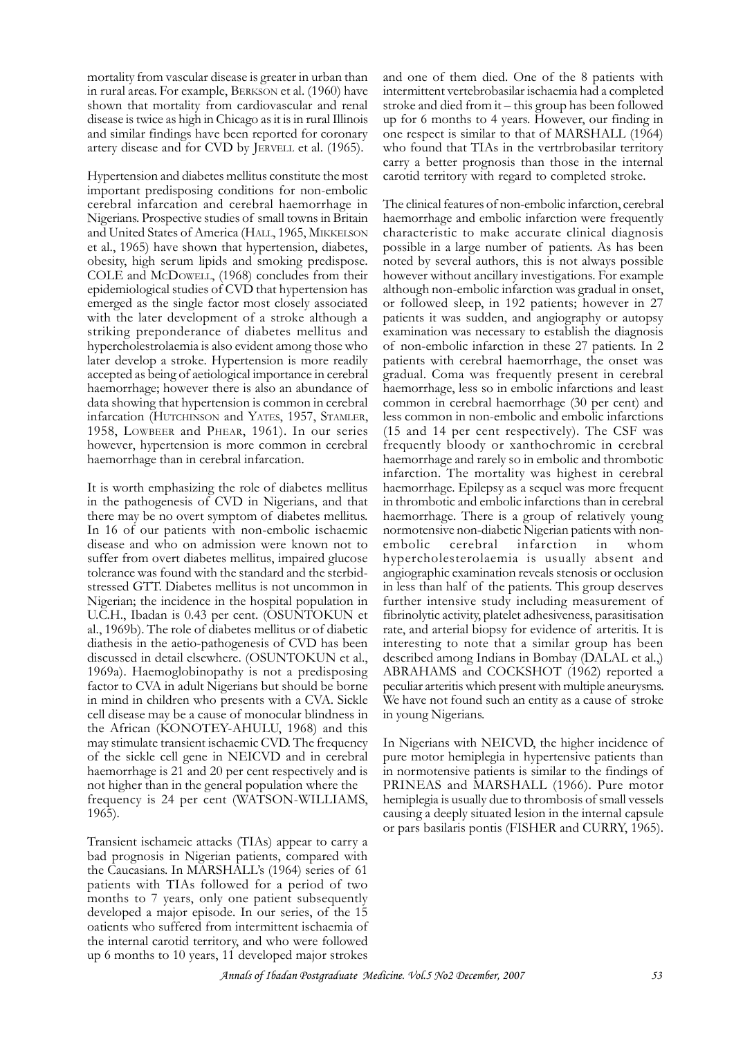mortality from vascular disease is greater in urban than in rural areas. For example, BERKSON et al. (1960) have shown that mortality from cardiovascular and renal disease is twice as high in Chicago as it is in rural Illinois and similar findings have been reported for coronary artery disease and for CVD by JERVELL et al. (1965).

Hypertension and diabetes mellitus constitute the most important predisposing conditions for non-embolic cerebral infarcation and cerebral haemorrhage in Nigerians. Prospective studies of small towns in Britain and United States of America (HALL, 1965, MIKKELSON et al., 1965) have shown that hypertension, diabetes, obesity, high serum lipids and smoking predispose. COLE and MCDOWELL, (1968) concludes from their epidemiological studies of CVD that hypertension has emerged as the single factor most closely associated with the later development of a stroke although a striking preponderance of diabetes mellitus and hypercholestrolaemia is also evident among those who later develop a stroke. Hypertension is more readily accepted as being of aetiological importance in cerebral haemorrhage; however there is also an abundance of data showing that hypertension is common in cerebral infarcation (HUTCHINSON and YATES, 1957, STAMLER, 1958, LOWBEER and PHEAR, 1961). In our series however, hypertension is more common in cerebral haemorrhage than in cerebral infarcation.

It is worth emphasizing the role of diabetes mellitus in the pathogenesis of CVD in Nigerians, and that there may be no overt symptom of diabetes mellitus. In 16 of our patients with non-embolic ischaemic disease and who on admission were known not to suffer from overt diabetes mellitus, impaired glucose tolerance was found with the standard and the sterbidstressed GTT. Diabetes mellitus is not uncommon in Nigerian; the incidence in the hospital population in U.C.H., Ibadan is 0.43 per cent. (OSUNTOKUN et al., 1969b). The role of diabetes mellitus or of diabetic diathesis in the aetio-pathogenesis of CVD has been discussed in detail elsewhere. (OSUNTOKUN et al., 1969a). Haemoglobinopathy is not a predisposing factor to CVA in adult Nigerians but should be borne in mind in children who presents with a CVA. Sickle cell disease may be a cause of monocular blindness in the African (KONOTEY-AHULU, 1968) and this may stimulate transient ischaemic CVD. The frequency of the sickle cell gene in NEICVD and in cerebral haemorrhage is 21 and 20 per cent respectively and is not higher than in the general population where the frequency is 24 per cent (WATSON-WILLIAMS, 1965).

Transient ischameic attacks (TIAs) appear to carry a bad prognosis in Nigerian patients, compared with the Caucasians. In MARSHALL's (1964) series of 61 patients with TIAs followed for a period of two months to 7 years, only one patient subsequently developed a major episode. In our series, of the 15 oatients who suffered from intermittent ischaemia of the internal carotid territory, and who were followed up 6 months to 10 years, 11 developed major strokes and one of them died. One of the 8 patients with intermittent vertebrobasilar ischaemia had a completed stroke and died from it – this group has been followed up for 6 months to 4 years. However, our finding in one respect is similar to that of MARSHALL (1964) who found that TIAs in the vertrbrobasilar territory carry a better prognosis than those in the internal carotid territory with regard to completed stroke.

The clinical features of non-embolic infarction, cerebral haemorrhage and embolic infarction were frequently characteristic to make accurate clinical diagnosis possible in a large number of patients. As has been noted by several authors, this is not always possible however without ancillary investigations. For example although non-embolic infarction was gradual in onset, or followed sleep, in 192 patients; however in 27 patients it was sudden, and angiography or autopsy examination was necessary to establish the diagnosis of non-embolic infarction in these 27 patients. In 2 patients with cerebral haemorrhage, the onset was gradual. Coma was frequently present in cerebral haemorrhage, less so in embolic infarctions and least common in cerebral haemorrhage (30 per cent) and less common in non-embolic and embolic infarctions (15 and 14 per cent respectively). The CSF was frequently bloody or xanthochromic in cerebral haemorrhage and rarely so in embolic and thrombotic infarction. The mortality was highest in cerebral haemorrhage. Epilepsy as a sequel was more frequent in thrombotic and embolic infarctions than in cerebral haemorrhage. There is a group of relatively young normotensive non-diabetic Nigerian patients with nonembolic cerebral infarction in whom hypercholesterolaemia is usually absent and angiographic examination reveals stenosis or occlusion in less than half of the patients. This group deserves further intensive study including measurement of fibrinolytic activity, platelet adhesiveness, parasitisation rate, and arterial biopsy for evidence of arteritis. It is interesting to note that a similar group has been described among Indians in Bombay (DALAL et al.,) ABRAHAMS and COCKSHOT (1962) reported a peculiar arteritis which present with multiple aneurysms. We have not found such an entity as a cause of stroke in young Nigerians.

In Nigerians with NEICVD, the higher incidence of pure motor hemiplegia in hypertensive patients than in normotensive patients is similar to the findings of PRINEAS and MARSHALL (1966). Pure motor hemiplegia is usually due to thrombosis of small vessels causing a deeply situated lesion in the internal capsule or pars basilaris pontis (FISHER and CURRY, 1965).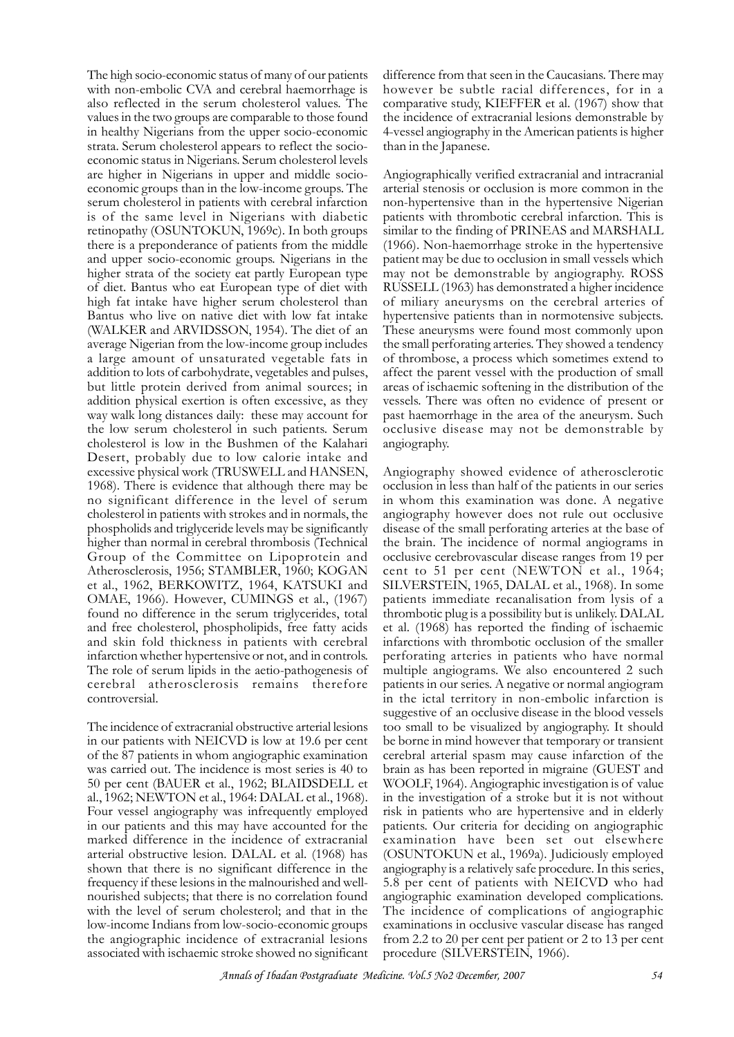The high socio-economic status of many of our patients with non-embolic CVA and cerebral haemorrhage is also reflected in the serum cholesterol values. The values in the two groups are comparable to those found in healthy Nigerians from the upper socio-economic strata. Serum cholesterol appears to reflect the socioeconomic status in Nigerians. Serum cholesterol levels are higher in Nigerians in upper and middle socioeconomic groups than in the low-income groups. The serum cholesterol in patients with cerebral infarction is of the same level in Nigerians with diabetic retinopathy (OSUNTOKUN, 1969c). In both groups there is a preponderance of patients from the middle and upper socio-economic groups. Nigerians in the higher strata of the society eat partly European type of diet. Bantus who eat European type of diet with high fat intake have higher serum cholesterol than Bantus who live on native diet with low fat intake (WALKER and ARVIDSSON, 1954). The diet of an average Nigerian from the low-income group includes a large amount of unsaturated vegetable fats in addition to lots of carbohydrate, vegetables and pulses, but little protein derived from animal sources; in addition physical exertion is often excessive, as they way walk long distances daily: these may account for the low serum cholesterol in such patients. Serum cholesterol is low in the Bushmen of the Kalahari Desert, probably due to low calorie intake and excessive physical work (TRUSWELL and HANSEN, 1968). There is evidence that although there may be no significant difference in the level of serum cholesterol in patients with strokes and in normals, the phospholids and triglyceride levels may be significantly higher than normal in cerebral thrombosis (Technical Group of the Committee on Lipoprotein and Atherosclerosis, 1956; STAMBLER, 1960; KOGAN et al., 1962, BERKOWITZ, 1964, KATSUKI and OMAE, 1966). However, CUMINGS et al., (1967) found no difference in the serum triglycerides, total and free cholesterol, phospholipids, free fatty acids and skin fold thickness in patients with cerebral infarction whether hypertensive or not, and in controls. The role of serum lipids in the aetio-pathogenesis of cerebral atherosclerosis remains therefore controversial.

The incidence of extracranial obstructive arterial lesions in our patients with NEICVD is low at 19.6 per cent of the 87 patients in whom angiographic examination was carried out. The incidence is most series is 40 to 50 per cent (BAUER et al., 1962; BLAIDSDELL et al., 1962; NEWTON et al., 1964: DALAL et al., 1968). Four vessel angiography was infrequently employed in our patients and this may have accounted for the marked difference in the incidence of extracranial arterial obstructive lesion. DALAL et al. (1968) has shown that there is no significant difference in the frequency if these lesions in the malnourished and wellnourished subjects; that there is no correlation found with the level of serum cholesterol; and that in the low-income Indians from low-socio-economic groups the angiographic incidence of extracranial lesions associated with ischaemic stroke showed no significant difference from that seen in the Caucasians. There may however be subtle racial differences, for in a comparative study, KIEFFER et al. (1967) show that the incidence of extracranial lesions demonstrable by 4-vessel angiography in the American patients is higher than in the Japanese.

Angiographically verified extracranial and intracranial arterial stenosis or occlusion is more common in the non-hypertensive than in the hypertensive Nigerian patients with thrombotic cerebral infarction. This is similar to the finding of PRINEAS and MARSHALL (1966). Non-haemorrhage stroke in the hypertensive patient may be due to occlusion in small vessels which may not be demonstrable by angiography. ROSS RUSSELL (1963) has demonstrated a higher incidence of miliary aneurysms on the cerebral arteries of hypertensive patients than in normotensive subjects. These aneurysms were found most commonly upon the small perforating arteries. They showed a tendency of thrombose, a process which sometimes extend to affect the parent vessel with the production of small areas of ischaemic softening in the distribution of the vessels. There was often no evidence of present or past haemorrhage in the area of the aneurysm. Such occlusive disease may not be demonstrable by angiography.

Angiography showed evidence of atherosclerotic occlusion in less than half of the patients in our series in whom this examination was done. A negative angiography however does not rule out occlusive disease of the small perforating arteries at the base of the brain. The incidence of normal angiograms in occlusive cerebrovascular disease ranges from 19 per cent to 51 per cent (NEWTON et al., 1964; SILVERSTEIN, 1965, DALAL et al., 1968). In some patients immediate recanalisation from lysis of a thrombotic plug is a possibility but is unlikely. DALAL et al. (1968) has reported the finding of ischaemic infarctions with thrombotic occlusion of the smaller perforating arteries in patients who have normal multiple angiograms. We also encountered 2 such patients in our series. A negative or normal angiogram in the ictal territory in non-embolic infarction is suggestive of an occlusive disease in the blood vessels too small to be visualized by angiography. It should be borne in mind however that temporary or transient cerebral arterial spasm may cause infarction of the brain as has been reported in migraine (GUEST and WOOLF, 1964). Angiographic investigation is of value in the investigation of a stroke but it is not without risk in patients who are hypertensive and in elderly patients. Our criteria for deciding on angiographic examination have been set out elsewhere (OSUNTOKUN et al., 1969a). Judiciously employed angiography is a relatively safe procedure. In this series, 5.8 per cent of patients with NEICVD who had angiographic examination developed complications. The incidence of complications of angiographic examinations in occlusive vascular disease has ranged from 2.2 to 20 per cent per patient or 2 to 13 per cent procedure (SILVERSTEIN, 1966).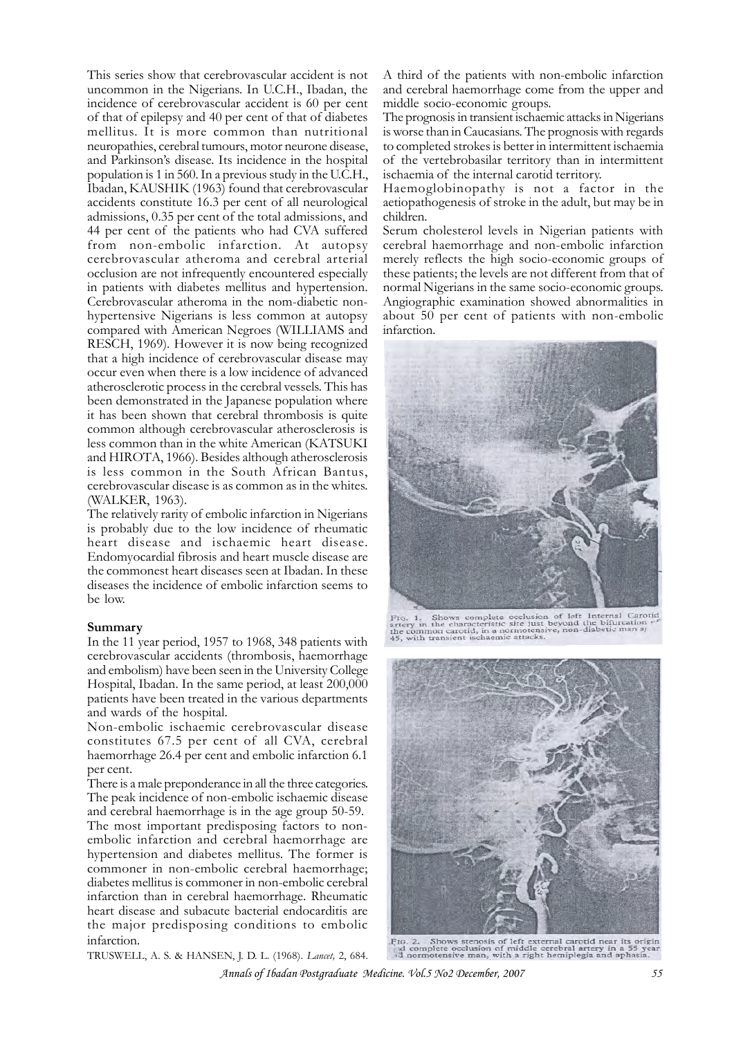This series show that cerebrovascular accident is not uncommon in the Nigerians. In U.C.H., Ibadan, the incidence of cerebrovascular accident is 60 per cent of that of epilepsy and 40 per cent of that of diabetes mellitus. It is more common than nutritional neuropathies, cerebral tumours, motor neurone disease, and Parkinson's disease. Its incidence in the hospital population is 1 in 560. In a previous study in the U.C.H., Ibadan, KAUSHIK (1963) found that cerebrovascular accidents constitute 16.3 per cent of all neurological admissions, 0.35 per cent of the total admissions, and 44 per cent of the patients who had CVA suffered from non-embolic infarction. At autopsy cerebrovascular atheroma and cerebral arterial occlusion are not infrequently encountered especially in patients with diabetes mellitus and hypertension. Cerebrovascular atheroma in the nom-diabetic nonhypertensive Nigerians is less common at autopsy compared with American Negroes (WILLIAMS and RESCH, 1969). However it is now being recognized that a high incidence of cerebrovascular disease may occur even when there is a low incidence of advanced atherosclerotic process in the cerebral vessels. This has been demonstrated in the Japanese population where it has been shown that cerebral thrombosis is quite common although cerebrovascular atherosclerosis is less common than in the white American (KATSUKI and HIROTA, 1966). Besides although atherosclerosis is less common in the South African Bantus, cerebrovascular disease is as common as in the whites. (WALKER, 1963).

The relatively rarity of embolic infarction in Nigerians is probably due to the low incidence of rheumatic heart disease and ischaemic heart disease. Endomyocardial fibrosis and heart muscle disease are the commonest heart diseases seen at Ibadan. In these diseases the incidence of embolic infarction seems to be low.

#### **Summary**

In the 11 year period, 1957 to 1968, 348 patients with cerebrovascular accidents (thrombosis, haemorrhage and embolism) have been seen in the University College Hospital, Ibadan. In the same period, at least 200,000 patients have been treated in the various departments and wards of the hospital.

Non-embolic ischaemic cerebrovascular disease constitutes 67.5 per cent of all CVA, cerebral haemorrhage 26.4 per cent and embolic infarction 6.1 per cent.

There is a male preponderance in all the three categories. The peak incidence of non-embolic ischaemic disease and cerebral haemorrhage is in the age group 50-59. The most important predisposing factors to nonembolic infarction and cerebral haemorrhage are hypertension and diabetes mellitus. The former is commoner in non-embolic cerebral haemorrhage; diabetes mellitus is commoner in non-embolic cerebral infarction than in cerebral haemorrhage. Rheumatic heart disease and subacute bacterial endocarditis are the major predisposing conditions to embolic infarction.

TRUSWELL, A. S. & HANSEN, J. D. L. (1968). *Lancet,* 2, 684.

A third of the patients with non-embolic infarction and cerebral haemorrhage come from the upper and middle socio-economic groups.

The prognosis in transient ischaemic attacks in Nigerians is worse than in Caucasians. The prognosis with regards to completed strokes is better in intermittent ischaemia of the vertebrobasilar territory than in intermittent ischaemia of the internal carotid territory.

Haemoglobinopathy is not a factor in the aetiopathogenesis of stroke in the adult, but may be in children.

Serum cholesterol levels in Nigerian patients with cerebral haemorrhage and non-embolic infarction merely reflects the high socio-economic groups of these patients; the levels are not different from that of normal Nigerians in the same socio-economic groups. Angiographic examination showed abnormalities in about 50 per cent of patients with non-embolic infarction.



FIG. 1. Shows complete occlusion of left Internal Carotid<br>artery in the characteristic site just beyond the bifurcation<br> $e^{\epsilon}$ the common carotid, in a normotensive, non-diabetic man ar<br>45, with transient ischaemic attack



FIG. 2. Shows stenosis of left external carotid near its original complete occlusion of middle cerebral artery in a 55 year id normotensive man, with a right hemiplegia and aphasia.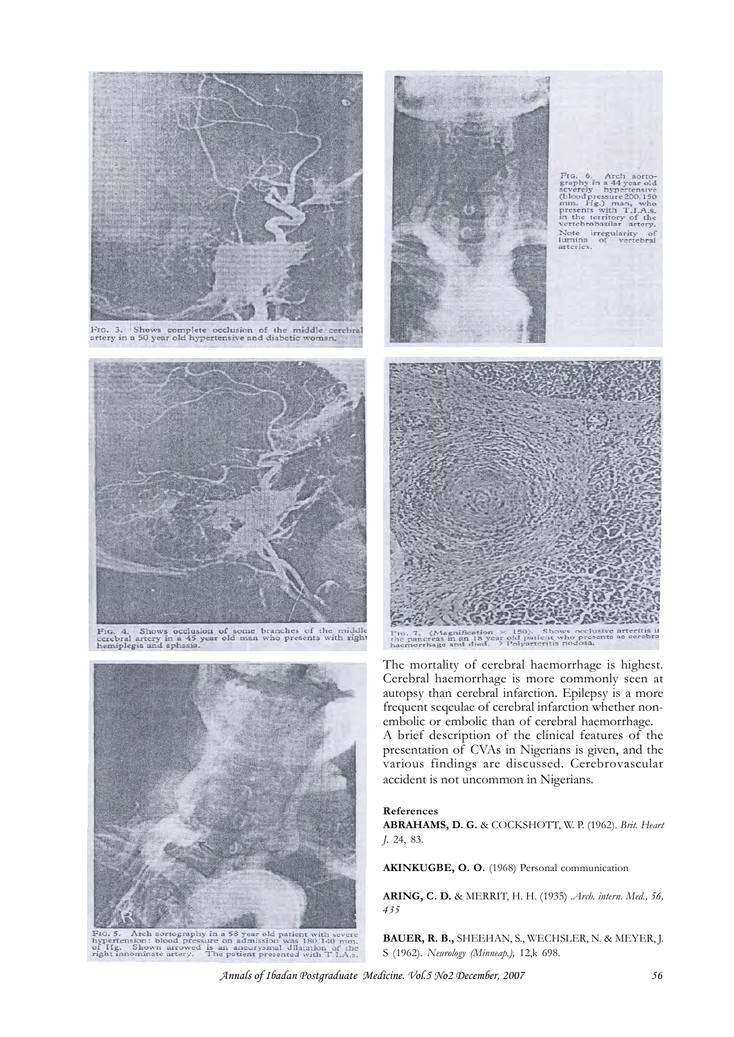

FIG. 3. Shows complete occlusion of the middle cerebra artery in a 50 year old hypertensive and diabetic woman.



FIG. 4. Shows occlusion of some branches of the middle cerebral artery in a 45 year old man who presents with right hemiplegia and aphasia.



FIG. 5. Arch aortography in a 58 year old patient with severe<br>hypertension: blood pressure on admission was 180/140 mm,<br>of Hg. Shown arrowed is an aneurysmal dilatation of the<br>right innominate artery. The patient presented



FIG. 6. Arch aorto-<br>graphy in a 44 year old severely hypertensive (blood pressure 200/150<br>(blood pressure 200/150<br>pm. Hg.) man, who presents with T1.As,<br>in the territory of the vertebrobasilar attery. Note irregularity of<br>lumina of vertebral<br>arteries.



(Magnificatio)<br>creas in an 18 years  $\times$  150). Shows occlusive arteritis in<br>ear old patient who presents as cerebra<br>? Polyarteritis nodosa. ng. 7. (Ma<br>he pancreas<br>acmorrhage

The mortality of cerebral haemorrhage is highest. Cerebral haemorrhage is more commonly seen at autopsy than cerebral infarction. Epilepsy is a more frequent seqeulae of cerebral infarction whether nonembolic or embolic than of cerebral haemorrhage. A brief description of the clinical features of the presentation of CVAs in Nigerians is given, and the various findings are discussed. Cerebrovascular accident is not uncommon in Nigerians.

#### **References**

**ABRAHAMS, D. G.** & COCKSHOTT, W. P. (1962). *Brit. Heart J.* 24, 83.

**AKINKUGBE, O. O.** (1968) Personal communication

**ARING, C. D.** & MERRIT, H. H. (1935) .*Arch. intern. Med., 56, 435*

**BAUER, R. B.,** SHEEHAN, S., WECHSLER, N. & MEYER, J. S (1962). *Neurology (Minneap.),* 12,k 698.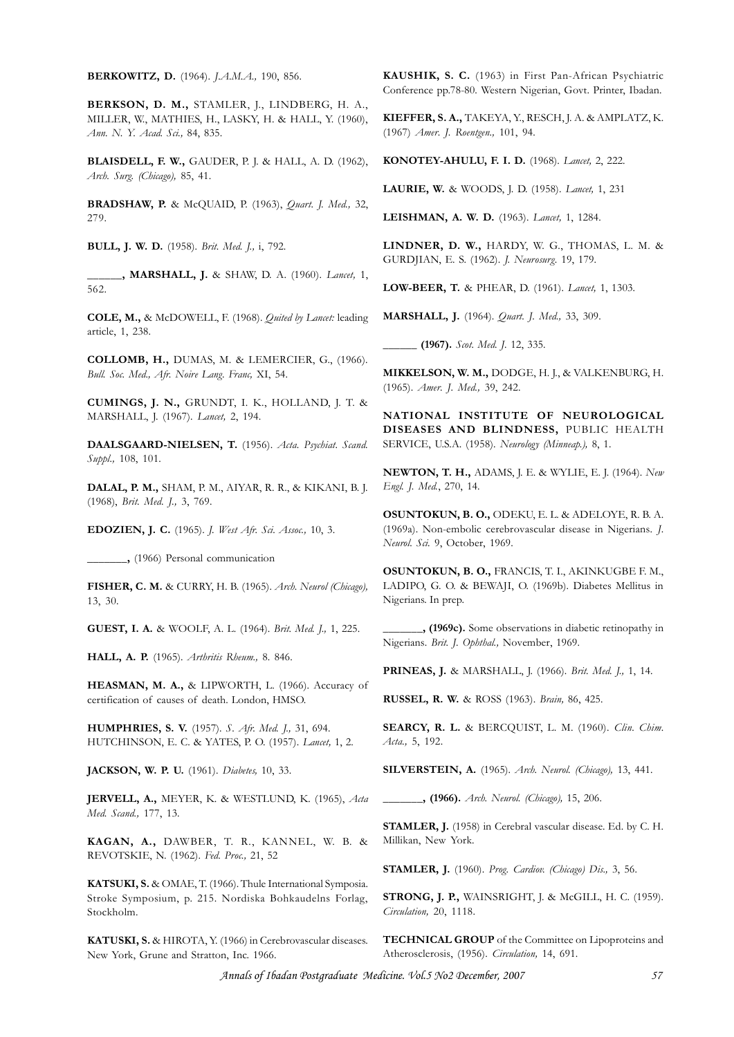**BERKOWITZ, D.** (1964). *J.A.M.A.,* 190, 856.

**BERKSON, D. M.,** STAMLER, J., LINDBERG, H. A., MILLER, W., MATHIES, H., LASKY, H. & HALL, Y. (1960), *Ann. N. Y. Acad. Sci.,* 84, 835.

**BLAISDELL, F. W.,** GAUDER, P. J. & HALL, A. D. (1962), *Arch. Surg. (Chicago),* 85, 41.

**BRADSHAW, P.** & McQUAID, P. (1963), *Quart. J. Med.,* 32, 279.

**BULL, J. W. D.** (1958). *Brit. Med. J.,* i, 792.

**\_\_\_\_\_\_, MARSHALL, J.** & SHAW, D. A. (1960). *Lancet,* 1, 562.

**COLE, M.,** & McDOWELL, F. (1968). *Quited by Lancet:* leading article, 1, 238.

**COLLOMB, H.,** DUMAS, M. & LEMERCIER, G., (1966). *Bull. Soc. Med., Afr. Noire Lang. Franc,* XI, 54.

**CUMINGS, J. N.,** GRUNDT, I. K., HOLLAND, J. T. & MARSHALL, J. (1967). *Lancet,* 2, 194.

**DAALSGAARD-NIELSEN, T.** (1956). *Acta. Psychiat. Scand. Suppl.,* 108, 101.

**DALAL, P. M.,** SHAM, P. M., AIYAR, R. R., & KIKANI, B. J. (1968), *Brit. Med. J.,* 3, 769.

**EDOZIEN, J. C.** (1965). *J. West Afr. Sci. Assoc.,* 10, 3.

**\_\_\_\_\_\_\_,** (1966) Personal communication

**FISHER, C. M.** & CURRY, H. B. (1965). *Arch. Neurol (Chicago),* 13, 30.

**GUEST, I. A.** & WOOLF, A. L. (1964). *Brit. Med. J.,* 1, 225.

**HALL, A. P.** (1965). *Arthritis Rheum.,* 8. 846.

**HEASMAN, M. A.,** & LIPWORTH, L. (1966). Accuracy of certification of causes of death. London, HMSO.

**HUMPHRIES, S. V.** (1957). *S. Afr. Med. J.,* 31, 694. HUTCHINSON, E. C. & YATES, P. O. (1957). *Lancet,* 1, 2.

**JACKSON, W. P. U.** (1961). *Diabetes,* 10, 33.

**JERVELL, A.,** MEYER, K. & WESTLUND, K. (1965), *Acta Med. Scand.,* 177, 13.

**KAGAN, A.,** DAWBER, T. R., KANNEL, W. B. & REVOTSKIE, N. (1962). *Fed. Proc.,* 21, 52

**KATSUKI, S.** & OMAE, T. (1966). Thule International Symposia. Stroke Symposium, p. 215. Nordiska Bohkaudelns Forlag, Stockholm.

**KATUSKI, S.** & HIROTA, Y. (1966) in Cerebrovascular diseases. New York, Grune and Stratton, Inc. 1966.

**KAUSHIK, S. C.** (1963) in First Pan-African Psychiatric Conference pp.78-80. Western Nigerian, Govt. Printer, Ibadan.

**KIEFFER, S. A.,** TAKEYA, Y., RESCH, J. A. & AMPLATZ, K. (1967) *Amer. J. Roentgen.,* 101, 94.

**KONOTEY-AHULU, F. I. D.** (1968). *Lancet,* 2, 222.

**LAURIE, W.** & WOODS, J. D. (1958). *Lancet,* 1, 231

**LEISHMAN, A. W. D.** (1963). *Lancet,* 1, 1284.

**LINDNER, D. W.,** HARDY, W. G., THOMAS, L. M. & GURDJIAN, E. S. (1962). *J. Neurosurg.* 19, 179.

**LOW-BEER, T.** & PHEAR, D. (1961). *Lancet,* 1, 1303.

**MARSHALL, J.** (1964). *Quart. J. Med.,* 33, 309.

**\_\_\_\_\_\_ (1967).** *Scot. Med. J.* 12, 335.

**MIKKELSON, W. M.,** DODGE, H. J., & VALKENBURG, H. (1965). *Amer. J. Med.,* 39, 242.

**NATIONAL INSTITUTE OF NEUROLOGICAL DISEASES AND BLINDNESS,** PUBLIC HEALTH SERVICE, U.S.A. (1958). *Neurology (Minneap.),* 8, 1.

**NEWTON, T. H.,** ADAMS, J. E. & WYLIE, E. J. (1964). *New Engl. J. Med.*, 270, 14.

**OSUNTOKUN, B. O.,** ODEKU, E. L. & ADELOYE, R. B. A. (1969a). Non-embolic cerebrovascular disease in Nigerians. *J. Neurol. Sci.* 9, October, 1969.

**OSUNTOKUN, B. O.,** FRANCIS, T. I., AKINKUGBE F. M., LADIPO, G. O. & BEWAJI, O. (1969b). Diabetes Mellitus in Nigerians. In prep.

**\_\_\_\_\_\_\_, (1969c).** Some observations in diabetic retinopathy in Nigerians. *Brit. J. Ophthal.,* November, 1969.

**PRINEAS, J.** & MARSHALL, J. (1966). *Brit. Med. J.,* 1, 14.

**RUSSEL, R. W.** & ROSS (1963). *Brain,* 86, 425.

**SEARCY, R. L.** & BERCQUIST, L. M. (1960). *Clin. Chim. Acta.,* 5, 192.

**SILVERSTEIN, A.** (1965). *Arch. Neurol. (Chicago),* 13, 441.

**\_\_\_\_\_\_\_, (1966).** *Arch. Neurol. (Chicago),* 15, 206.

**STAMLER, J.** (1958) in Cerebral vascular disease. Ed. by C. H. Millikan, New York.

**STAMLER, J.** (1960). *Prog. Cardiov. (Chicago) Dis.,* 3, 56.

**STRONG, J. P.,** WAINSRIGHT, J. & McGILL, H. C. (1959). *Circulation,* 20, 1118.

**TECHNICAL GROUP** of the Committee on Lipoproteins and Atherosclerosis, (1956). *Circulation,* 14, 691.